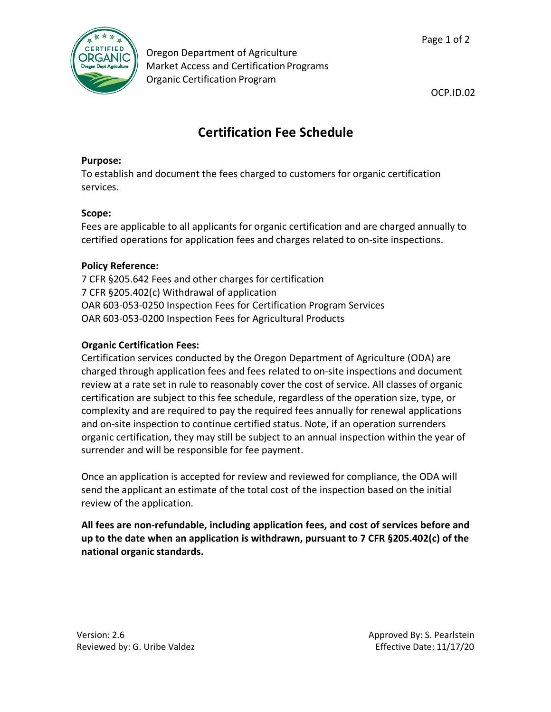

Oregon Department of Agriculture Market Access and Certification Programs Organic Certification Program

Page 1 of 2

OCP.ID.02

# **Certification Fee Schedule**

#### **Purpose:**

To establish and document the fees charged to customers for organic certification services.

## **Scope:**

Fees are applicable to all applicants for organic certification and are charged annually to certified operations for application fees and charges related to on-site inspections.

### **Policy Reference:**

7 CFR §205.642 Fees and other charges for certification 7 CFR §205.402(c) Withdrawal of application OAR 603-053-0250 Inspection Fees for Certification Program Services OAR 603-053-0200 Inspection Fees for Agricultural Products

### **Organic Certification Fees:**

Certification services conducted by the Oregon Department of Agriculture (ODA) are charged through application fees and fees related to on-site inspections and document review at a rate set in rule to reasonably cover the cost of service. All classes of organic certification are subject to this fee schedule, regardless of the operation size, type, or complexity and are required to pay the required fees annually for renewal applications and on-site inspection to continue certified status. Note, if an operation surrenders organic certification, they may still be subject to an annual inspection within the year of surrender and will be responsible for fee payment.

Once an application is accepted for review and reviewed for compliance, the ODA will send the applicant an estimate of the total cost of the inspection based on the initial review of the application.

**All fees are non-refundable, including application fees, and cost of services before and up to the date when an application is withdrawn, pursuant to 7 CFR §205.402(c) of the national organic standards.**